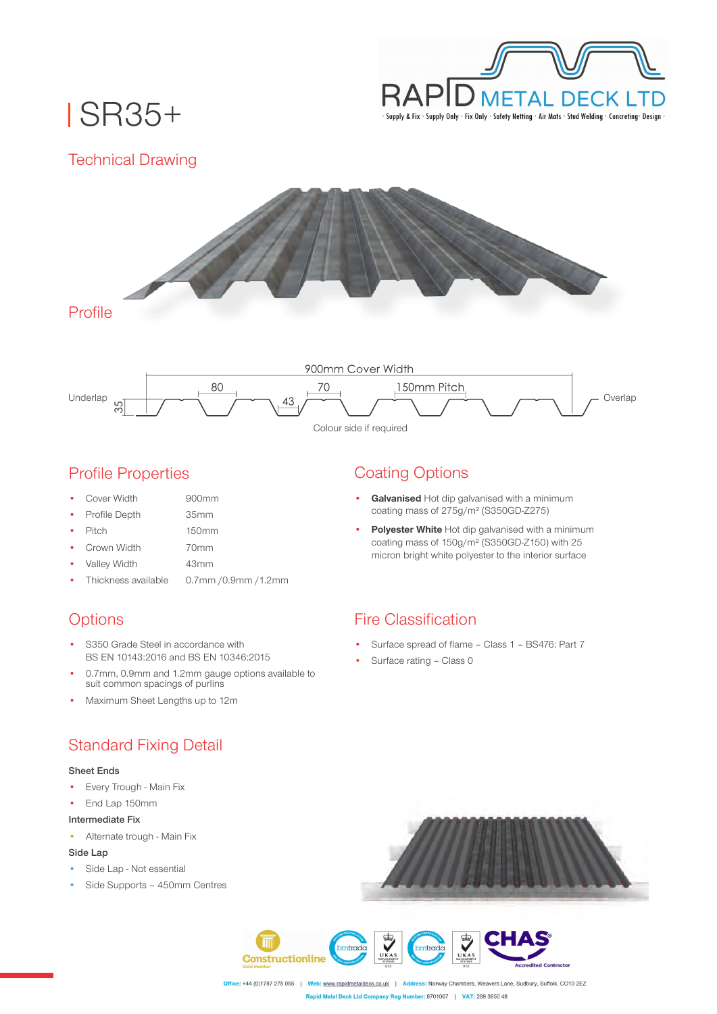

# SR35+

Technical Drawing





### Profile Properties

Cover Width

• Profile Depth

35mm

900mm

• Pitch

150mm 70mm

- Crown Width
- Valley Width 43mm
- Thickness available 0.7mm /0.9mm /1.2mm

# **Options**

- S350 Grade Steel in accordance with BS EN 10143:2016 and BS EN 10346:2015
- 0.7mm, 0.9mm and 1.2mm gauge options available to suit common spacings of purlins
- Maximum Sheet Lengths up to 12m

# Standard Fixing Detail

#### **Sheet Ends**

- Every Trough Main Fix
- End Lap 150mm

#### **Intermediate Fix**

• Alternate trough - Main Fix

#### **Side Lap**

- Side Lap Not essential
- Side Supports 450mm Centres

# Coating Options

- **Galvanised** Hot dip galvanised with a minimum coating mass of 275g/m² (S350GD-Z275)
- **Polyester White** Hot dip galvanised with a minimum coating mass of 150g/m² (S350GD-Z150) with 25 micron bright white polyester to the interior surface

### Fire Classification

- Surface spread of flame Class 1 BS476: Part 7
- Surface rating Class 0